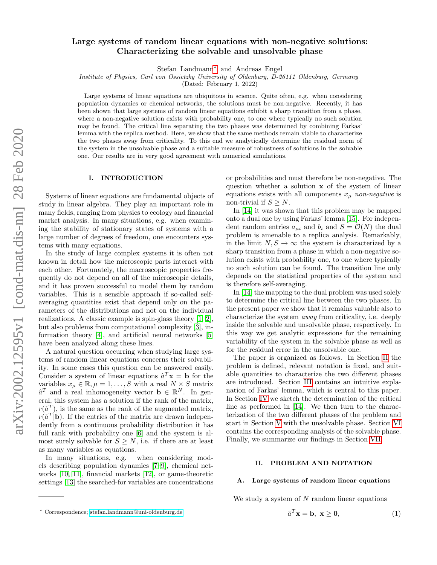# Large systems of random linear equations with non-negative solutions: Characterizing the solvable and unsolvable phase

Stefan Landmann[∗](#page-0-0) and Andreas Engel

Institute of Physics, Carl von Ossietzky University of Oldenburg, D-26111 Oldenburg, Germany

(Dated: February 1, 2022)

Large systems of linear equations are ubiquitous in science. Quite often, e.g. when considering population dynamics or chemical networks, the solutions must be non-negative. Recently, it has been shown that large systems of random linear equations exhibit a sharp transition from a phase, where a non-negative solution exists with probability one, to one where typically no such solution may be found. The critical line separating the two phases was determined by combining Farkas' lemma with the replica method. Here, we show that the same methods remain viable to characterize the two phases away from criticality. To this end we analytically determine the residual norm of the system in the unsolvable phase and a suitable measure of robustness of solutions in the solvable one. Our results are in very good agreement with numerical simulations.

#### I. INTRODUCTION

Systems of linear equations are fundamental objects of study in linear algebra. They play an important role in many fields, ranging from physics to ecology and financial market analysis. In many situations, e.g. when examining the stability of stationary states of systems with a large number of degrees of freedom, one encounters systems with many equations.

In the study of large complex systems it is often not known in detail how the microscopic parts interact with each other. Fortunately, the macroscopic properties frequently do not depend on all of the microscopic details, and it has proven successful to model them by random variables. This is a sensible approach if so-called selfaveraging quantities exist that depend only on the parameters of the distributions and not on the individual realizations. A classic example is spin-glass theory [\[1,](#page-8-0) [2\]](#page-8-1), but also problems from computational complexity [\[3\]](#page-8-2), information theory [\[4\]](#page-8-3), and artificial neural networks [\[5\]](#page-8-4) have been analyzed along these lines.

A natural question occurring when studying large systems of random linear equations concerns their solvability. In some cases this question can be answered easily. Consider a system of linear equations  $\hat{a}^T \mathbf{x} = \mathbf{b}$  for the variables  $x_{\mu} \in \mathbb{R}, \mu = 1, \ldots, S$  with a real  $N \times S$  matrix  $\hat{a}^T$  and a real inhomogeneity vector  $\mathbf{b} \in \mathbb{R}^N$ . In general, this system has a solution if the rank of the matrix,  $r(\hat{a}^T)$ , is the same as the rank of the augmented matrix,  $r(\hat{a}^T|\mathbf{b})$ . If the entries of the matrix are drawn independently from a continuous probability distribution it has full rank with probability one  $[6]$  and the system is almost surely solvable for  $S \geq N$ , i.e. if there are at least as many variables as equations.

In many situations, e.g. when considering models describing population dynamics [\[7–](#page-8-6)[9\]](#page-8-7), chemical networks [\[10,](#page-8-8) [11\]](#page-8-9), financial markets [\[12\]](#page-8-10), or game-theoretic settings [\[13\]](#page-8-11) the searched-for variables are concentrations or probabilities and must therefore be non-negative. The question whether a solution x of the system of linear equations exists with all components  $x_{\mu}$  non-negative is non-trivial if  $S \geq N$ .

In [\[14\]](#page-8-12) it was shown that this problem may be mapped onto a dual one by using Farkas' lemma [\[15\]](#page-8-13). For independent random entries  $a_{\mu i}$  and  $b_i$  and  $S = \mathcal{O}(N)$  the dual problem is amenable to a replica analysis. Remarkably, in the limit  $N, S \to \infty$  the system is characterized by a sharp transition from a phase in which a non-negative solution exists with probability one, to one where typically no such solution can be found. The transition line only depends on the statistical properties of the system and is therefore self-averaging.

In [\[14\]](#page-8-12) the mapping to the dual problem was used solely to determine the critical line between the two phases. In the present paper we show that it remains valuable also to characterize the system away from criticality, i.e. deeply inside the solvable and unsolvable phase, respectively. In this way we get analytic expressions for the remaining variability of the system in the solvable phase as well as for the residual error in the unsolvable one.

The paper is organized as follows. In Section [II](#page-0-1) the problem is defined, relevant notation is fixed, and suitable quantities to characterize the two different phases are introduced. Section [III](#page-1-0) contains an intuitive explanation of Farkas' lemma, which is central to this paper. In Section [IV](#page-1-1) we sketch the determination of the critical line as performed in [\[14\]](#page-8-12). We then turn to the characterization of the two different phases of the problem and start in Section [V](#page-3-0) with the unsolvable phase. Section [VI](#page-4-0) contains the corresponding analysis of the solvable phase. Finally, we summarize our findings in Section [VII.](#page-7-0)

# <span id="page-0-1"></span>II. PROBLEM AND NOTATION

#### A. Large systems of random linear equations

We study a system of  $N$  random linear equations

<span id="page-0-2"></span>
$$
\hat{a}^T \mathbf{x} = \mathbf{b}, \ \mathbf{x} \ge \mathbf{0}, \tag{1}
$$

<span id="page-0-0"></span><sup>∗</sup> Correspondence; [stefan.landmann@uni-oldenburg.de](mailto:stefan.landmann@uni-oldenburg.de)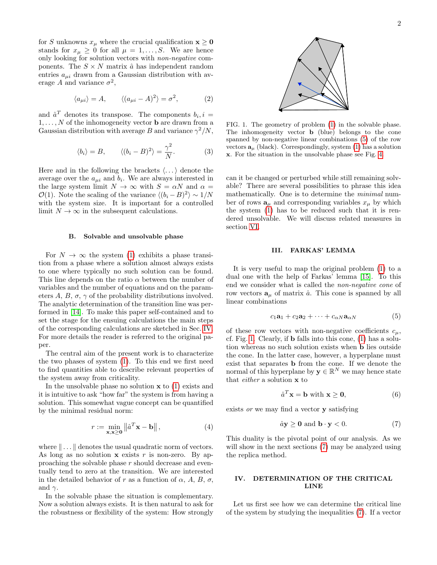for S unknowns  $x_{\mu}$  where the crucial qualification  $\mathbf{x} \geq \mathbf{0}$ stands for  $x_{\mu} \geq 0$  for all  $\mu = 1, \ldots, S$ . We are hence only looking for solution vectors with non-negative components. The  $S \times N$  matrix  $\hat{a}$  has independent random entries  $a_{\mu i}$  drawn from a Gaussian distribution with average A and variance  $\sigma^2$ ,

$$
\langle a_{\mu i} \rangle = A, \qquad \langle (a_{\mu i} - A)^2 \rangle = \sigma^2, \tag{2}
$$

and  $\hat{a}^T$  denotes its transpose. The components  $b_i, i =$  $1, \ldots, N$  of the inhomogeneity vector **b** are drawn from a Gaussian distribution with average B and variance  $\gamma^2/N$ ,

$$
\langle b_i \rangle = B, \qquad \langle (b_i - B)^2 \rangle = \frac{\gamma^2}{N}.
$$
 (3)

Here and in the following the brackets  $\langle \ldots \rangle$  denote the average over the  $a_{\mu i}$  and  $b_i$ . We are always interested in the large system limit  $N \to \infty$  with  $S = \alpha N$  and  $\alpha =$  $\mathcal{O}(1)$ . Note the scaling of the variance  $\langle (b_i - B)^2 \rangle \sim 1/N$ with the system size. It is important for a controlled limit  $N \to \infty$  in the subsequent calculations.

#### B. Solvable and unsolvable phase

For  $N \to \infty$  the system [\(1\)](#page-0-2) exhibits a phase transition from a phase where a solution almost always exists to one where typically no such solution can be found. This line depends on the ratio  $\alpha$  between the number of variables and the number of equations and on the parameters  $A, B, \sigma, \gamma$  of the probability distributions involved. The analytic determination of the transition line was performed in [\[14\]](#page-8-12). To make this paper self-contained and to set the stage for the ensuing calculations the main steps of the corresponding calculations are sketched in Sec. [IV.](#page-1-1) For more details the reader is referred to the original paper.

The central aim of the present work is to characterize the two phases of system [\(1\)](#page-0-2). To this end we first need to find quantities able to describe relevant properties of the system away from criticality.

In the unsolvable phase no solution  $x$  to  $(1)$  exists and it is intuitive to ask "how far" the system is from having a solution. This somewhat vague concept can be quantified by the minimal residual norm:

<span id="page-1-5"></span>
$$
r := \min_{\mathbf{x}, \mathbf{x} \ge \mathbf{0}} \left\| \hat{a}^T \mathbf{x} - \mathbf{b} \right\|,\tag{4}
$$

where  $\|\ldots\|$  denotes the usual quadratic norm of vectors. As long as no solution  $x$  exists r is non-zero. By approaching the solvable phase r should decrease and eventually tend to zero at the transition. We are interested in the detailed behavior of r as a function of  $\alpha$ ,  $A$ ,  $B$ ,  $\sigma$ , and  $\gamma$ .

In the solvable phase the situation is complementary. Now a solution always exists. It is then natural to ask for the robustness or flexibility of the system: How strongly



<span id="page-1-3"></span>FIG. 1. The geometry of problem [\(1\)](#page-0-2) in the solvable phase. The inhomogeneity vector b (blue) belongs to the cone spanned by non-negative linear combinations [\(5\)](#page-1-2) of the row vectors  $\mathbf{a}_{\mu}$  (black). Correspondingly, system [\(1\)](#page-0-2) has a solution x. For the situation in the unsolvable phase see Fig. [4.](#page-3-1)

can it be changed or perturbed while still remaining solvable? There are several possibilities to phrase this idea mathematically. One is to determine the minimal number of rows  $\mathbf{a}_{\mu}$  and corresponding variables  $x_{\mu}$  by which the system [\(1\)](#page-0-2) has to be reduced such that it is rendered unsolvable. We will discuss related measures in section [VI.](#page-4-0)

#### <span id="page-1-0"></span>III. FARKAS' LEMMA

It is very useful to map the original problem [\(1\)](#page-0-2) to a dual one with the help of Farkas' lemma [\[15\]](#page-8-13). To this end we consider what is called the non-negative cone of row vectors  $\mathbf{a}_{\mu}$  of matrix  $\hat{a}$ . This cone is spanned by all linear combinations

<span id="page-1-2"></span>
$$
c_1\mathbf{a}_1 + c_2\mathbf{a}_2 + \dots + c_{\alpha N}\mathbf{a}_{\alpha N} \tag{5}
$$

of these row vectors with non-negative coefficients  $c_{\mu}$ , cf. Fig. [1.](#page-1-3) Clearly, if b falls into this cone, [\(1\)](#page-0-2) has a solution whereas no such solution exists when b lies outside the cone. In the latter case, however, a hyperplane must exist that separates b from the cone. If we denote the normal of this hyperplane by  $y \in \mathbb{R}^N$  we may hence state that either a solution x to

$$
\hat{a}^T \mathbf{x} = \mathbf{b} \text{ with } \mathbf{x} \ge \mathbf{0},\tag{6}
$$

exists or we may find a vector y satisfying

<span id="page-1-4"></span>
$$
\hat{a}\mathbf{y} \ge \mathbf{0} \text{ and } \mathbf{b} \cdot \mathbf{y} < 0. \tag{7}
$$

This duality is the pivotal point of our analysis. As we will show in the next sections [\(7\)](#page-1-4) may be analyzed using the replica method.

## <span id="page-1-1"></span>IV. DETERMINATION OF THE CRITICAL LINE

Let us first see how we can determine the critical line of the system by studying the inequalities [\(7\)](#page-1-4). If a vector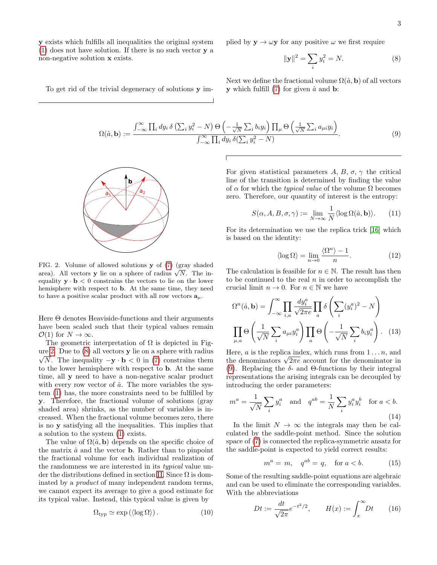y exists which fulfills all inequalities the original system [\(1\)](#page-0-2) does not have solution. If there is no such vector y a non-negative solution x exists.

To get rid of the trivial degeneracy of solutions y im-

plied by 
$$
\mathbf{y} \to \omega \mathbf{y}
$$
 for any positive  $\omega$  we first require

<span id="page-2-2"></span><span id="page-2-1"></span>
$$
\|\mathbf{y}\|^2 = \sum_i y_i^2 = N. \tag{8}
$$

Next we define the fractional volume  $\Omega(\hat{a}, \mathbf{b})$  of all vectors **y** which fulfill  $(7)$  for given  $\hat{a}$  and **b**:

$$
\Omega(\hat{a}, \mathbf{b}) := \frac{\int_{-\infty}^{\infty} \prod_i dy_i \, \delta\left(\sum_i y_i^2 - N\right) \Theta\left(-\frac{1}{\sqrt{N}} \sum_i b_i y_i\right) \prod_{\mu} \Theta\left(\frac{1}{\sqrt{N}} \sum_i a_{\mu i} y_i\right)}{\int_{-\infty}^{\infty} \prod_i dy_i \, \delta\left(\sum_i y_i^2 - N\right)}.
$$
\n(9)

**b**  $\mathsf{a}_1$  $a<sub>2</sub>$ 

<span id="page-2-0"></span>FIG. 2. Volume of allowed solutions y of [\(7\)](#page-1-4) (gray shaded **FIG.** 2. Volume of allowed solutions **y** or (*i*) (gray shaded area). All vectors **y** lie on a sphere of radius  $\sqrt{N}$ . The inequality  $y \cdot b < 0$  constrains the vectors to lie on the lower hemisphere with respect to b. At the same time, they need to have a positive scalar product with all row vectors  $a_{\mu}$ .

Here  $\Theta$  denotes Heaviside-functions and their arguments have been scaled such that their typical values remain  $\mathcal{O}(1)$  for  $N \to \infty$ .

The geometric interpretation of  $\Omega$  is depicted in Fig-ure [2.](#page-2-0) Due to  $(8)$  all vectors **y** lie on a sphere with radius  $\sqrt{N}$ . The inequality  $-\mathbf{y} \cdot \mathbf{b} < 0$  in [\(7\)](#page-1-4) constrains them to the lower hemisphere with respect to b. At the same time, all y need to have a non-negative scalar product with every row vector of  $\hat{a}$ . The more variables the system [\(1\)](#page-0-2) has, the more constraints need to be fulfilled by y. Therefore, the fractional volume of solutions (gray shaded area) shrinks, as the number of variables is increased. When the fractional volume becomes zero, there is no y satisfying all the inequalities. This implies that a solution to the system [\(1\)](#page-0-2) exists.

The value of  $\Omega(\hat{a}, \mathbf{b})$  depends on the specific choice of the matrix  $\hat{a}$  and the vector **b**. Rather than to pinpoint the fractional volume for each individual realization of the randomness we are interested in its typical value un-der the distributions defined in section [II.](#page-0-1) Since  $\Omega$  is dominated by a product of many independent random terms, we cannot expect its average to give a good estimate for its typical value. Instead, this typical value is given by

$$
\Omega_{\text{typ}} \simeq \exp\left(\langle \log \Omega \rangle\right). \tag{10}
$$

For given statistical parameters  $A, B, \sigma, \gamma$  the critical line of the transition is determined by finding the value of  $\alpha$  for which the *typical value* of the volume  $\Omega$  becomes zero. Therefore, our quantity of interest is the entropy:

<span id="page-2-4"></span>
$$
S(\alpha, A, B, \sigma, \gamma) := \lim_{N \to \infty} \frac{1}{N} \langle \log \Omega(\hat{a}, \mathbf{b}) \rangle.
$$
 (11)

For its determination we use the replica trick [\[16\]](#page-8-14) which is based on the identity:

$$
\langle \log \Omega \rangle = \lim_{n \to 0} \frac{\langle \Omega^n \rangle - 1}{n}.
$$
 (12)

The calculation is feasible for  $n \in \mathbb{N}$ . The result has then to be continued to the real  $n$  in order to accomplish the crucial limit  $n \to 0$ . For  $n \in \mathbb{N}$  we have

$$
\Omega^n(\hat{a}, \mathbf{b}) = \int_{-\infty}^{\infty} \prod_{i,a} \frac{dy_i^a}{\sqrt{2\pi e}} \prod_a \delta\left(\sum_i (y_i^a)^2 - N\right)
$$

$$
\prod_{\mu,a} \Theta\left(\frac{1}{\sqrt{N}} \sum_i a_{\mu i} y_i^a\right) \prod_a \Theta\left(-\frac{1}{\sqrt{N}} \sum_i b_i y_i^a\right). \quad (13)
$$

Here,  $a$  is the replica index, which runs from  $1 \ldots n$ , and Here, *a* is the replica index, which runs from  $1 \dots n$ , and the denominators  $\sqrt{2\pi e}$  account for the denominator in [\(9\)](#page-2-2). Replacing the  $\delta$ - and Θ-functions by their integral representations the arising integrals can be decoupled by introducing the order parameters:

<span id="page-2-5"></span>
$$
m^{a} = \frac{1}{\sqrt{N}} \sum_{i} y_{i}^{a} \quad \text{and} \quad q^{ab} = \frac{1}{N} \sum_{i} y_{i}^{a} y_{i}^{b} \quad \text{for } a < b.
$$
\n(14)

In the limit  $N \to \infty$  the integrals may then be calculated by the saddle-point method. Since the solution space of [\(7\)](#page-1-4) is connected the replica-symmetric ansatz for the saddle-point is expected to yield correct results:

$$
m^a = m, \quad q^{ab} = q, \quad \text{for } a < b. \tag{15}
$$

Some of the resulting saddle-point equations are algebraic and can be used to eliminate the corresponding variables. With the abbreviations

<span id="page-2-3"></span>
$$
Dt := \frac{dt}{\sqrt{2\pi}}e^{-t^2/2}, \qquad H(x) := \int_x^\infty Dt \qquad (16)
$$

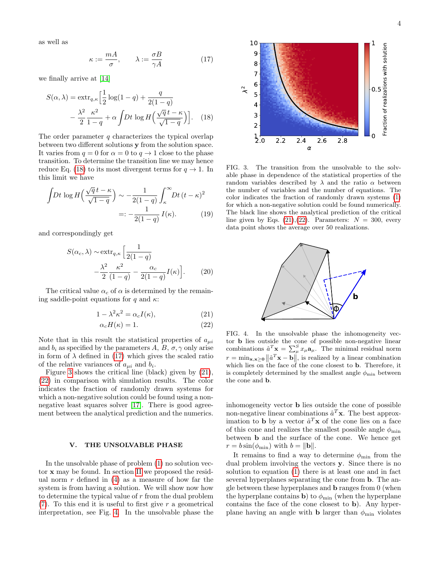as well as

<span id="page-3-3"></span>
$$
\kappa := \frac{mA}{\sigma}, \qquad \lambda := \frac{\sigma B}{\gamma A} \tag{17}
$$

we finally arrive at [\[14\]](#page-8-12)

$$
S(\alpha, \lambda) = \text{extr}_{q,\kappa} \left[ \frac{1}{2} \log(1 - q) + \frac{q}{2(1 - q)} - \frac{\lambda^2}{2} \frac{\kappa^2}{1 - q} + \alpha \int Dt \log H \left( \frac{\sqrt{q} t - \kappa}{\sqrt{1 - q}} \right) \right]. \tag{18}
$$

The order parameter  $q$  characterizes the typical overlap between two different solutions y from the solution space. It varies from  $q = 0$  for  $\alpha = 0$  to  $q \to 1$  close to the phase transition. To determine the transition line we may hence reduce Eq. [\(18\)](#page-3-2) to its most divergent terms for  $q \to 1$ . In this limit we have

$$
\int Dt \log H\left(\frac{\sqrt{q}t - \kappa}{\sqrt{1-q}}\right) \sim -\frac{1}{2(1-q)} \int_{\kappa}^{\infty} Dt (t - \kappa)^2
$$

$$
=: -\frac{1}{2(1-q)} I(\kappa). \tag{19}
$$

and correspondingly get

$$
S(\alpha_c, \lambda) \sim \text{extr}_{q,\kappa} \left[ \frac{1}{2(1-q)} - \frac{\lambda^2 \kappa^2}{2(1-q)} I(\kappa) \right].
$$
 (20)

The critical value  $\alpha_c$  of  $\alpha$  is determined by the remaining saddle-point equations for q and  $\kappa$ :

$$
1 - \lambda^2 \kappa^2 = \alpha_c I(\kappa),\tag{21}
$$

$$
\alpha_c H(\kappa) = 1. \tag{22}
$$

Note that in this result the statistical properties of  $a_{\mu i}$ and  $b_i$  as specified by the parameters A, B,  $\sigma$ ,  $\gamma$  only arise in form of  $\lambda$  defined in [\(17\)](#page-3-3) which gives the scaled ratio of the relative variances of  $a_{\mu i}$  and  $b_i$ .

Figure [3](#page-3-4) shows the critical line (black) given by [\(21\)](#page-3-5), [\(22\)](#page-3-6) in comparison with simulation results. The color indicates the fraction of randomly drawn systems for which a non-negative solution could be found using a non-negative least squares solver [\[17\]](#page-8-15). There is good agreement between the analytical prediction and the numerics.

### <span id="page-3-0"></span>V. THE UNSOLVABLE PHASE

In the unsolvable phase of problem [\(1\)](#page-0-2) no solution vector x may be found. In section [II](#page-0-1) we proposed the residual norm  $r$  defined in [\(4\)](#page-1-5) as a measure of how far the system is from having a solution. We will show now how to determine the typical value of r from the dual problem  $(7)$ . To this end it is useful to first give r a geometrical interpretation, see Fig. [4.](#page-3-1) In the unsolvable phase the



<span id="page-3-7"></span><span id="page-3-4"></span><span id="page-3-2"></span>FIG. 3. The transition from the unsolvable to the solvable phase in dependence of the statistical properties of the random variables described by  $\lambda$  and the ratio  $\alpha$  between the number of variables and the number of equations. The color indicates the fraction of randomly drawn systems [\(1\)](#page-0-2) for which a non-negative solution could be found numerically. The black line shows the analytical prediction of the critical line given by Eqs.  $(21),(22)$  $(21),(22)$  $(21),(22)$ . Parameters:  $N = 300$ , every data point shows the average over 50 realizations.



<span id="page-3-6"></span><span id="page-3-5"></span><span id="page-3-1"></span>FIG. 4. In the unsolvable phase the inhomogeneity vector b lies outside the cone of possible non-negative linear combinations  $\hat{a}^T \mathbf{x} = \sum_{\mu}^{S} x_{\mu} \mathbf{a}_{\mu}$ . The minimal residual norm  $r = \min_{\mathbf{x}, \mathbf{x} \geq 0} \left\| \hat{a}^T \mathbf{x} - \mathbf{b} \right\|$ , is realized by a linear combination which lies on the face of the cone closest to **b**. Therefore, it is completely determined by the smallest angle  $\phi_{\min}$  between the cone and b.

inhomogeneity vector b lies outside the cone of possible non-negative linear combinations  $\hat{a}^T \mathbf{x}$ . The best approximation to **b** by a vector  $\hat{a}^T \mathbf{x}$  of the cone lies on a face of this cone and realizes the smallest possible angle  $\phi_{\min}$ between b and the surface of the cone. We hence get  $r = b \sin(\phi_{\min})$  with  $b = ||\mathbf{b}||$ .

It remains to find a way to determine  $\phi_{\text{min}}$  from the dual problem involving the vectors y. Since there is no solution to equation [\(1\)](#page-0-2) there is at least one and in fact several hyperplanes separating the cone from b. The angle between these hyperplanes and b ranges from 0 (when the hyperplane contains **b**) to  $\phi_{\text{min}}$  (when the hyperplane contains the face of the cone closest to b). Any hyperplane having an angle with **b** larger than  $\phi_{\text{min}}$  violates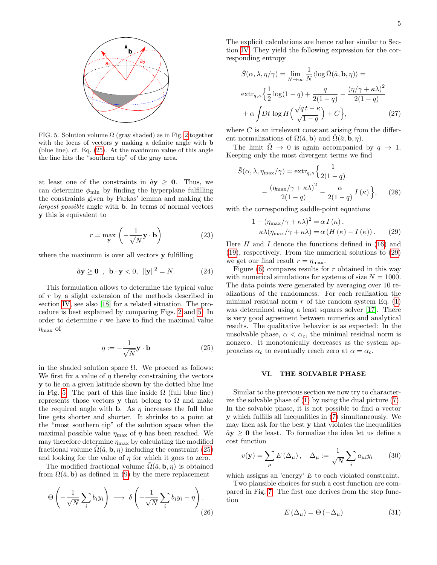<span id="page-4-2"></span>FIG. 5. Solution volume  $\Omega$  (gray shaded) as in Fig. [2](#page-2-0) together with the locus of vectors **y** making a definite angle with **b** (blue line), cf. Eq. [\(25\)](#page-4-1). At the maximum value of this angle the line hits the "southern tip" of the gray area.

at least one of the constraints in  $\hat{a}y \geq 0$ . Thus, we can determine  $\phi_{\min}$  by finding the hyperplane fulfilling the constraints given by Farkas' lemma and making the largest possible angle with b. In terms of normal vectors y this is equivalent to

$$
r = \max_{\mathbf{y}} \left( -\frac{1}{\sqrt{N}} \mathbf{y} \cdot \mathbf{b} \right)
$$
 (23)

where the maximum is over all vectors y fulfilling

$$
\hat{a}\mathbf{y} \ge \mathbf{0} , \ \mathbf{b} \cdot \mathbf{y} < 0, \ \|\mathbf{y}\|^2 = N. \tag{24}
$$

This formulation allows to determine the typical value of r by a slight extension of the methods described in section [IV,](#page-1-1) see also [\[18\]](#page-8-16) for a related situation. The procedure is best explained by comparing Figs. [2](#page-2-0) and [5.](#page-4-2) In order to determine r we have to find the maximal value  $\eta_{\text{max}}$  of

<span id="page-4-1"></span>
$$
\eta := -\frac{1}{\sqrt{N}} \mathbf{y} \cdot \mathbf{b} \tag{25}
$$

in the shaded solution space  $\Omega$ . We proceed as follows: We first fix a value of  $\eta$  thereby constraining the vectors y to lie on a given latitude shown by the dotted blue line in Fig. [5.](#page-4-2) The part of this line inside  $\Omega$  (full blue line) represents those vectors y that belong to  $\Omega$  and make the required angle with **b**. As  $\eta$  increases the full blue line gets shorter and shorter. It shrinks to a point at the "most southern tip" of the solution space when the maximal possible value  $\eta_{\text{max}}$  of  $\eta$  has been reached. We may therefore determine  $\eta_{\text{max}}$  by calculating the modified fractional volume  $\Omega(\hat{a}, \mathbf{b}, \eta)$  including the constraint [\(25\)](#page-4-1) and looking for the value of  $\eta$  for which it goes to zero.

The modified fractional volume  $\Omega(\hat{a}, \mathbf{b}, \eta)$  is obtained from  $\Omega(\hat{a}, \mathbf{b})$  as defined in [\(9\)](#page-2-2) by the mere replacement

$$
\Theta\left(-\frac{1}{\sqrt{N}}\sum_{i}b_{i}y_{i}\right) \longrightarrow \delta\left(-\frac{1}{\sqrt{N}}\sum_{i}b_{i}y_{i}-\eta\right).
$$
\n(26)

The explicit calculations are hence rather similar to Section [IV.](#page-1-1) They yield the following expression for the corresponding entropy

$$
\tilde{S}(\alpha, \lambda, \eta/\gamma) = \lim_{N \to \infty} \frac{1}{N} \langle \log \tilde{\Omega}(\hat{a}, \mathbf{b}, \eta) \rangle =
$$
\n
$$
\operatorname{extr}_{q, \kappa} \left\{ \frac{1}{2} \log(1 - q) + \frac{q}{2(1 - q)} - \frac{(\eta/\gamma + \kappa \lambda)^2}{2(1 - q)} \right\}
$$
\n
$$
+ \alpha \int Dt \log H \left( \frac{\sqrt{q}t - \kappa}{\sqrt{1 - q}} \right) + C \Big\}, \tag{27}
$$

where  $C$  is an irrelevant constant arising from the different normalizations of  $\Omega(\hat{a}, \mathbf{b})$  and  $\Omega(\hat{a}, \mathbf{b}, \eta)$ .

The limit  $\Omega \rightarrow 0$  is again accompanied by  $q \rightarrow 1$ . Keeping only the most divergent terms we find

$$
\tilde{S}(\alpha, \lambda, \eta_{\max}/\gamma) = \text{extr}_{q,\kappa} \left\{ \frac{1}{2(1-q)} - \frac{(\eta_{\max}/\gamma + \kappa \lambda)^2}{2(1-q)} - \frac{\alpha}{2(1-q)} I(\kappa) \right\}, \quad (28)
$$

with the corresponding saddle-point equations

<span id="page-4-3"></span>
$$
1 - (\eta_{\text{max}}/\gamma + \kappa \lambda)^2 = \alpha I(\kappa),
$$
  

$$
\kappa \lambda (\eta_{\text{max}}/\gamma + \kappa \lambda) = \alpha (H(\kappa) - I(\kappa)).
$$
 (29)

Here  $H$  and  $I$  denote the functions defined in [\(16\)](#page-2-3) and [\(19\)](#page-3-7), respectively. From the numerical solutions to [\(29\)](#page-4-3) we get our final result  $r = \eta_{\text{max}}$ .

Figure  $(6)$  compares results for r obtained in this way with numerical simulations for systems of size  $N = 1000$ . The data points were generated by averaging over 10 realizations of the randomness. For each realization the minimal residual norm  $r$  of the random system Eq. [\(1\)](#page-0-2) was determined using a least squares solver [\[17\]](#page-8-15). There is very good agreement between numerics and analytical results. The qualitative behavior is as expected: In the unsolvable phase,  $\alpha < \alpha_c$ , the minimal residual norm is nonzero. It monotonically decreases as the system approaches  $\alpha_c$  to eventually reach zero at  $\alpha = \alpha_c$ .

### <span id="page-4-0"></span>VI. THE SOLVABLE PHASE

Similar to the previous section we now try to characterize the solvable phase of [\(1\)](#page-0-2) by using the dual picture [\(7\)](#page-1-4). In the solvable phase, it is not possible to find a vector y which fulfills all inequalities in [\(7\)](#page-1-4) simultaneously. We may then ask for the best y that violates the inequalities  $\hat{a}y \geq 0$  the least. To formalize the idea let us define a cost function

<span id="page-4-5"></span>
$$
v(\mathbf{y}) = \sum_{\mu} E(\Delta_{\mu}), \quad \Delta_{\mu} := \frac{1}{\sqrt{N}} \sum_{i} a_{\mu i} y_i \qquad (30)
$$

which assigns an 'energy' E to each violated constraint.

Two plausible choices for such a cost function are compared in Fig. [7.](#page-5-1) The first one derives from the step function

<span id="page-4-4"></span>
$$
E\left(\Delta_{\mu}\right) = \Theta\left(-\Delta_{\mu}\right) \tag{31}
$$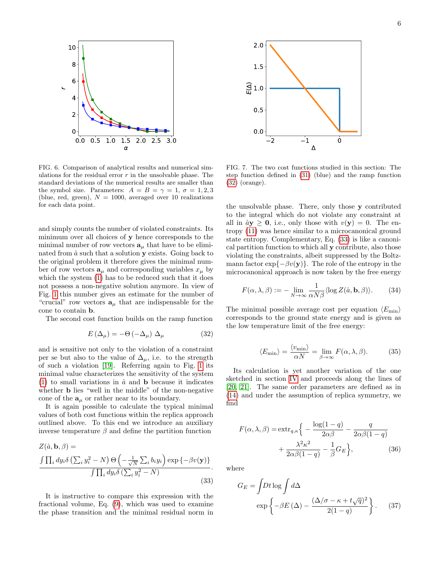

<span id="page-5-0"></span>FIG. 6. Comparison of analytical results and numerical simulations for the residual error  $r$  in the unsolvable phase. The standard deviations of the numerical results are smaller than the symbol size. Parameters:  $A = B = \gamma = 1, \sigma = 1, 2, 3$ (blue, red, green),  $N = 1000$ , averaged over 10 realizations for each data point.

and simply counts the number of violated constraints. Its minimum over all choices of y hence corresponds to the minimal number of row vectors  $\mathbf{a}_{\mu}$  that have to be eliminated from  $\hat{a}$  such that a solution **y** exists. Going back to the original problem it therefore gives the minimal number of row vectors  $\mathbf{a}_{\mu}$  and corresponding variables  $x_{\mu}$  by which the system [\(1\)](#page-0-2) has to be reduced such that it does not possess a non-negative solution anymore. In view of Fig. [1](#page-1-3) this number gives an estimate for the number of "crucial" row vectors  $a_{\mu}$  that are indispensable for the cone to contain b.

The second cost function builds on the ramp function

<span id="page-5-2"></span>
$$
E\left(\Delta_{\mu}\right) = -\Theta\left(-\Delta_{\mu}\right)\,\Delta_{\mu} \tag{32}
$$

and is sensitive not only to the violation of a constraint per se but also to the value of  $\Delta_{\mu}$ , i.e. to the strength of such a violation [\[19\]](#page-8-17). Referring again to Fig. [1](#page-1-3) its minimal value characterizes the sensitivity of the system [\(1\)](#page-0-2) to small variations in  $\hat{a}$  and **b** because it indicates whether b lies "well in the middle" of the non-negative cone of the  $a_{\mu}$  or rather near to its boundary.

It is again possible to calculate the typical minimal values of both cost functions within the replica approach outlined above. To this end we introduce an auxiliary inverse temperature  $\beta$  and define the partition function

$$
Z(\hat{a}, \mathbf{b}, \beta) =
$$
  

$$
\frac{\int \prod_i dy_i \delta\left(\sum_i y_i^2 - N\right) \Theta\left(-\frac{1}{\sqrt{N}} \sum_i b_i y_i\right) \exp\left\{-\beta v(\mathbf{y})\right\}}{\int \prod_i dy_i \delta\left(\sum_i y_i^2 - N\right)}.
$$
 (33)

It is instructive to compare this expression with the fractional volume, Eq. [\(9\)](#page-2-2), which was used to examine the phase transition and the minimal residual norm in



<span id="page-5-1"></span>FIG. 7. The two cost functions studied in this section: The step function defined in [\(31\)](#page-4-4) (blue) and the ramp function [\(32\)](#page-5-2) (orange).

the unsolvable phase. There, only those y contributed to the integral which do not violate any constraint at all in  $\hat{a}y \ge 0$ , i.e., only those with  $v(y) = 0$ . The entropy [\(11\)](#page-2-4) was hence similar to a microcanonical ground state entropy. Complementary, Eq. [\(33\)](#page-5-3) is like a canonical partition function to which all y contribute, also those violating the constraints, albeit suppressed by the Boltzmann factor  $\exp{\{-\beta v(\mathbf{y})\}}$ . The role of the entropy in the microcanonical approach is now taken by the free energy

$$
F(\alpha, \lambda, \beta) := -\lim_{N \to \infty} \frac{1}{\alpha N \beta} \langle \log Z(\hat{a}, \mathbf{b}, \beta) \rangle.
$$
 (34)

The minimal possible average cost per equation  $\langle E_{\text{min}} \rangle$ corresponds to the ground state energy and is given as the low temperature limit of the free energy:

$$
\langle E_{\min} \rangle = \frac{\langle v_{\min} \rangle}{\alpha N} = \lim_{\beta \to \infty} F(\alpha, \lambda, \beta). \tag{35}
$$

Its calculation is yet another variation of the one sketched in section [IV](#page-1-1) and proceeds along the lines of [\[20,](#page-8-18) [21\]](#page-8-19). The same order parameters are defined as in [\(14\)](#page-2-5) and under the assumption of replica symmetry, we find

$$
F(\alpha, \lambda, \beta) = \text{extr}_{q, \kappa} \left\{ -\frac{\log(1-q)}{2\alpha\beta} - \frac{q}{2\alpha\beta(1-q)} + \frac{\lambda^2 \kappa^2}{2\alpha\beta(1-q)} - \frac{1}{\beta} G_E \right\},\tag{36}
$$

<span id="page-5-3"></span>where

$$
G_E = \int Dt \log \int d\Delta
$$

$$
\exp\left\{-\beta E\left(\Delta\right) - \frac{\left(\Delta/\sigma - \kappa + t\sqrt{q}\right)^2}{2(1-q)}\right\}.
$$
 (37)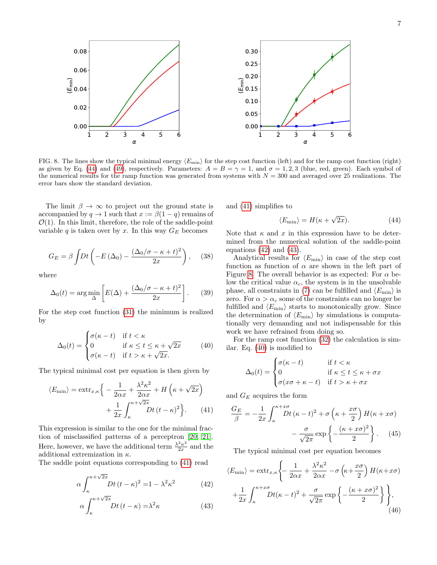

<span id="page-6-4"></span>FIG. 8. The lines show the typical minimal energy  $\langle E_{\text{min}}\rangle$  for the step cost function (left) and for the ramp cost function (right) as given by Eq. [\(44\)](#page-6-0) and [\(49\)](#page-7-1), respectively. Parameters:  $A = B = \gamma = 1$ , and  $\sigma = 1, 2, 3$  (blue, red, green). Each symbol of the numerical results for the ramp function was generated from systems with  $N = 300$  and averaged over 25 realizations. The error bars show the standard deviation.

The limit  $\beta \to \infty$  to project out the ground state is accompanied by  $q \to 1$  such that  $x := \beta(1 - q)$  remains of  $\mathcal{O}(1)$ . In this limit, therefore, the role of the saddle-point variable q is taken over by x. In this way  $G_E$  becomes

$$
G_E = \beta \int Dt \left( -E(\Delta_0) - \frac{(\Delta_0/\sigma - \kappa + t)^2}{2x} \right), \quad (38)
$$

where

$$
\Delta_0(t) = \arg\min_{\Delta} \left[ E(\Delta) + \frac{(\Delta_0/\sigma - \kappa + t)^2}{2x} \right].
$$
 (39)

For the step cost function [\(31\)](#page-4-4) the minimum is realized by

<span id="page-6-5"></span>
$$
\Delta_0(t) = \begin{cases}\n\sigma(\kappa - t) & \text{if } t < \kappa \\
0 & \text{if } \kappa \le t \le \kappa + \sqrt{2x} \\
\sigma(\kappa - t) & \text{if } t > \kappa + \sqrt{2x}.\n\end{cases}
$$
\n(40)

The typical minimal cost per equation is then given by

$$
\langle E_{\min} \rangle = \operatorname{extr}_{x,\kappa} \Big\{ -\frac{1}{2\alpha x} + \frac{\lambda^2 \kappa^2}{2\alpha x} + H\left(\kappa + \sqrt{2x}\right) + \frac{1}{2x} \int_{\kappa}^{\kappa + \sqrt{2x}} Dt \left(t - \kappa\right)^2 \Big\}.
$$
 (41)

This expression is similar to the one for the minimal fraction of misclassified patterns of a perceptron [\[20,](#page-8-18) [21\]](#page-8-19). Here, however, we have the additional term  $\frac{\lambda^2 \kappa^2}{2r}$  $\frac{2\kappa^2}{2x}$  and the additional extremization in  $\kappa$ .

The saddle point equations corresponding to [\(41\)](#page-6-1) read

$$
\alpha \int_{\kappa}^{\kappa + \sqrt{2x}} Dt (t - \kappa)^2 = 1 - \lambda^2 \kappa^2 \tag{42}
$$

$$
\alpha \int_{\kappa}^{\kappa + \sqrt{2x}} Dt \,(t - \kappa) = \lambda^2 \kappa \tag{43}
$$

and [\(41\)](#page-6-1) simplifies to

<span id="page-6-0"></span>
$$
\langle E_{\min} \rangle = H(\kappa + \sqrt{2x}). \tag{44}
$$

Note that  $\kappa$  and  $x$  in this expression have to be determined from the numerical solution of the saddle-point equations [\(42\)](#page-6-2) and [\(43\)](#page-6-3).

Analytical results for  $\langle E_{\text{min}} \rangle$  in case of the step cost function as function of  $\alpha$  are shown in the left part of Figure [8.](#page-6-4) The overall behavior is as expected: For  $\alpha$  below the critical value  $\alpha_c$ , the system is in the unsolvable phase, all constraints in [\(7\)](#page-1-4) can be fulfilled and  $\langle E_{\text{min}} \rangle$  is zero. For  $\alpha > \alpha_c$  some of the constraints can no longer be fulfilled and  $\langle E_{\text{min}} \rangle$  starts to monotonically grow. Since the determination of  $\langle E_{\text{min}} \rangle$  by simulations is computationally very demanding and not indispensable for this work we have refrained from doing so.

For the ramp cost function [\(32\)](#page-5-2) the calculation is similar. Eq. [\(40\)](#page-6-5) is modified to

$$
\Delta_0(t) = \begin{cases}\n\sigma(\kappa - t) & \text{if } t < \kappa \\
0 & \text{if } \kappa \le t \le \kappa + \sigma x \\
\sigma(x\sigma + \kappa - t) & \text{if } t > \kappa + \sigma x\n\end{cases}
$$

<span id="page-6-1"></span>and  $G_E$  acquires the form

$$
\frac{G_E}{\beta} = -\frac{1}{2x} \int_{\kappa}^{\kappa + x\sigma} Dt (\kappa - t)^2 + \sigma \left(\kappa + \frac{x\sigma}{2}\right) H(\kappa + x\sigma) \n- \frac{\sigma}{\sqrt{2\pi}} \exp\left\{-\frac{(\kappa + x\sigma)^2}{2}\right\}.
$$
\n(45)

The typical minimal cost per equation becomes

<span id="page-6-3"></span><span id="page-6-2"></span>
$$
\langle E_{\min} \rangle = \operatorname{extr}_{x,\kappa} \left\{ -\frac{1}{2\alpha x} + \frac{\lambda^2 \kappa^2}{2\alpha x} - \sigma \left( \kappa + \frac{x\sigma}{2} \right) H(\kappa + x\sigma) \right\}
$$

$$
+ \frac{1}{2x} \int_{\kappa}^{\kappa + x\sigma} Dt(\kappa - t)^2 + \frac{\sigma}{\sqrt{2\pi}} \exp \left\{ -\frac{(\kappa + x\sigma)^2}{2} \right\}, \tag{46}
$$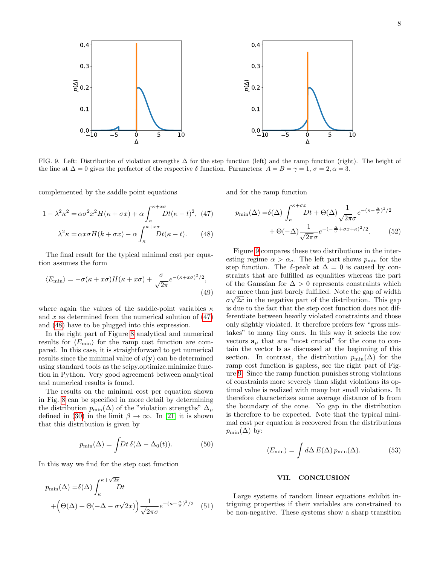

<span id="page-7-4"></span>FIG. 9. Left: Distribution of violation strengths ∆ for the step function (left) and the ramp function (right). The height of the line at  $\Delta = 0$  gives the prefactor of the respective  $\delta$  function. Parameters:  $A = B = \gamma = 1$ ,  $\sigma = 2$ ,  $\alpha = 3$ .

complemented by the saddle point equations

$$
1 - \lambda^2 \kappa^2 = \alpha \sigma^2 x^2 H(\kappa + \sigma x) + \alpha \int_{\kappa}^{\kappa + x\sigma} Dt(\kappa - t)^2, \tag{47}
$$

$$
\lambda^2 \kappa = \alpha x \sigma H(k + \sigma x) - \alpha \int_{\kappa}^{+\infty} Dt(\kappa - t). \tag{48}
$$

The final result for the typical minimal cost per equation assumes the form

$$
\langle E_{\min} \rangle = -\sigma(\kappa + x\sigma)H(\kappa + x\sigma) + \frac{\sigma}{\sqrt{2\pi}}e^{-(\kappa + x\sigma)^2/2},\tag{49}
$$

where again the values of the saddle-point variables  $\kappa$ and  $x$  as determined from the numerical solution of  $(47)$ and [\(48\)](#page-7-3) have to be plugged into this expression.

In the right part of Figure [8](#page-6-4) analytical and numerical results for  $\langle E_{\text{min}} \rangle$  for the ramp cost function are compared. In this case, it is straightforward to get numerical results since the minimal value of  $v(\mathbf{y})$  can be determined using standard tools as the scipy.optimize.minimize function in Python. Very good agreement between analytical and numerical results is found.

The results on the minimal cost per equation shown in Fig. [8](#page-6-4) can be specified in more detail by determining the distribution  $p_{\min}(\Delta)$  of the "violation strengths"  $\Delta_{\mu}$ defined in [\(30\)](#page-4-5) in the limit  $\beta \to \infty$ . In [\[21\]](#page-8-19) it is shown that this distribution is given by

$$
p_{\min}(\Delta) = \int \! Dt \,\delta(\Delta - \Delta_0(t)). \tag{50}
$$

In this way we find for the step cost function

$$
p_{\min}(\Delta) = \delta(\Delta) \int_{\kappa}^{\kappa + \sqrt{2x}} Dt
$$
  
+  $\left(\Theta(\Delta) + \Theta(-\Delta - \sigma\sqrt{2x})\right) \frac{1}{\sqrt{2\pi}\sigma} e^{-(\kappa - \frac{\Delta}{\sigma})^2/2}$  (51)

<span id="page-7-2"></span>and for the ramp function

$$
p_{\min}(\Delta) = \delta(\Delta) \int_{\kappa}^{\kappa + \sigma x} Dt + \Theta(\Delta) \frac{1}{\sqrt{2\pi}\sigma} e^{-(\kappa - \frac{\Delta}{\sigma})^2/2} + \Theta(-\Delta) \frac{1}{\sqrt{2\pi}\sigma} e^{-(-\frac{\Delta}{\sigma} + \sigma x + \kappa)^2/2}.
$$
 (52)

<span id="page-7-3"></span><span id="page-7-1"></span>Figure [9](#page-7-4) compares these two distributions in the interesting regime  $\alpha > \alpha_c$ . The left part shows  $p_{\min}$  for the step function. The  $\delta$ -peak at  $\Delta = 0$  is caused by constraints that are fulfilled as equalities whereas the part of the Gaussian for  $\Delta > 0$  represents constraints which are more than just barely fulfilled. Note the gap of width √  $\sigma\sqrt{2x}$  in the negative part of the distribution. This gap is due to the fact that the step cost function does not differentiate between heavily violated constraints and those only slightly violated. It therefore prefers few "gross mistakes" to many tiny ones. In this way it selects the row vectors  $a_{\mu}$  that are "most crucial" for the cone to contain the vector b as discussed at the beginning of this section. In contrast, the distribution  $p_{\min}(\Delta)$  for the ramp cost function is gapless, see the right part of Figure [9.](#page-7-4) Since the ramp function punishes strong violations of constraints more severely than slight violations its optimal value is realized with many but small violations. It therefore characterizes some average distance of b from the boundary of the cone. No gap in the distribution is therefore to be expected. Note that the typical minimal cost per equation is recovered from the distributions  $p_{\min}(\Delta)$  by:

$$
\langle E_{\min} \rangle = \int d\Delta \, E(\Delta) \, p_{\min}(\Delta). \tag{53}
$$

# <span id="page-7-0"></span>VII. CONCLUSION

Large systems of random linear equations exhibit intriguing properties if their variables are constrained to be non-negative. These systems show a sharp transition